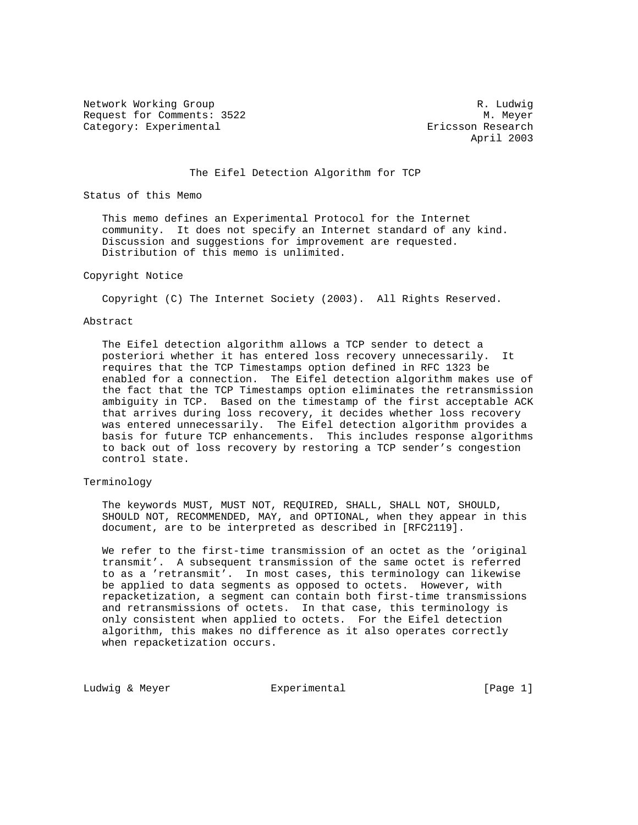Network Working Group and the set of the set of the set of the R. Ludwig Request for Comments: 3522 M. Meyer Category: Experimental extending the extendion of the Ericsson Research

April 2003

The Eifel Detection Algorithm for TCP

Status of this Memo

 This memo defines an Experimental Protocol for the Internet community. It does not specify an Internet standard of any kind. Discussion and suggestions for improvement are requested. Distribution of this memo is unlimited.

## Copyright Notice

Copyright (C) The Internet Society (2003). All Rights Reserved.

#### Abstract

 The Eifel detection algorithm allows a TCP sender to detect a posteriori whether it has entered loss recovery unnecessarily. It requires that the TCP Timestamps option defined in RFC 1323 be enabled for a connection. The Eifel detection algorithm makes use of the fact that the TCP Timestamps option eliminates the retransmission ambiguity in TCP. Based on the timestamp of the first acceptable ACK that arrives during loss recovery, it decides whether loss recovery was entered unnecessarily. The Eifel detection algorithm provides a basis for future TCP enhancements. This includes response algorithms to back out of loss recovery by restoring a TCP sender's congestion control state.

# Terminology

 The keywords MUST, MUST NOT, REQUIRED, SHALL, SHALL NOT, SHOULD, SHOULD NOT, RECOMMENDED, MAY, and OPTIONAL, when they appear in this document, are to be interpreted as described in [RFC2119].

 We refer to the first-time transmission of an octet as the 'original transmit'. A subsequent transmission of the same octet is referred to as a 'retransmit'. In most cases, this terminology can likewise be applied to data segments as opposed to octets. However, with repacketization, a segment can contain both first-time transmissions and retransmissions of octets. In that case, this terminology is only consistent when applied to octets. For the Eifel detection algorithm, this makes no difference as it also operates correctly when repacketization occurs.

Ludwig & Meyer **Experimental** Experimental [Page 1]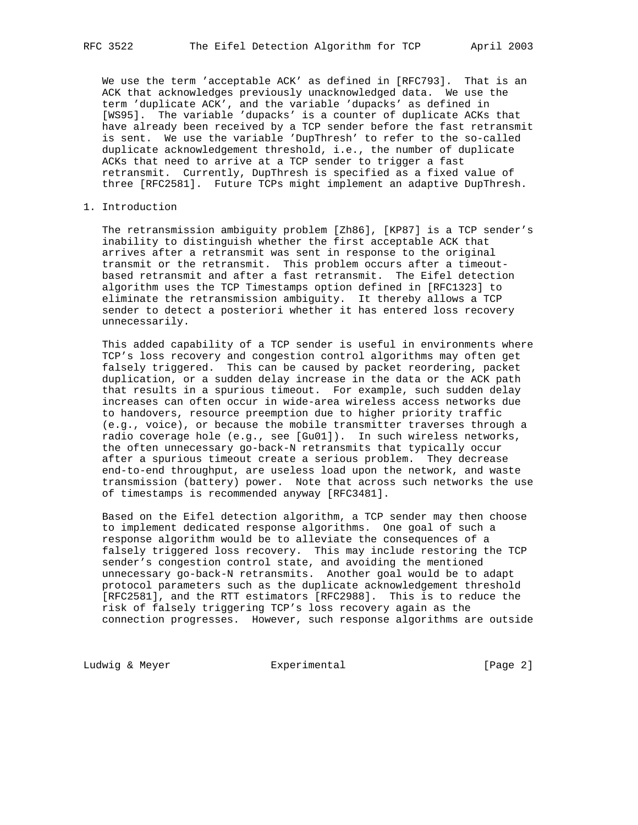We use the term 'acceptable ACK' as defined in [RFC793]. That is an ACK that acknowledges previously unacknowledged data. We use the term 'duplicate ACK', and the variable 'dupacks' as defined in [WS95]. The variable 'dupacks' is a counter of duplicate ACKs that have already been received by a TCP sender before the fast retransmit is sent. We use the variable 'DupThresh' to refer to the so-called duplicate acknowledgement threshold, i.e., the number of duplicate ACKs that need to arrive at a TCP sender to trigger a fast retransmit. Currently, DupThresh is specified as a fixed value of three [RFC2581]. Future TCPs might implement an adaptive DupThresh.

## 1. Introduction

 The retransmission ambiguity problem [Zh86], [KP87] is a TCP sender's inability to distinguish whether the first acceptable ACK that arrives after a retransmit was sent in response to the original transmit or the retransmit. This problem occurs after a timeout based retransmit and after a fast retransmit. The Eifel detection algorithm uses the TCP Timestamps option defined in [RFC1323] to eliminate the retransmission ambiguity. It thereby allows a TCP sender to detect a posteriori whether it has entered loss recovery unnecessarily.

 This added capability of a TCP sender is useful in environments where TCP's loss recovery and congestion control algorithms may often get falsely triggered. This can be caused by packet reordering, packet duplication, or a sudden delay increase in the data or the ACK path that results in a spurious timeout. For example, such sudden delay increases can often occur in wide-area wireless access networks due to handovers, resource preemption due to higher priority traffic (e.g., voice), or because the mobile transmitter traverses through a radio coverage hole (e.g., see [Gu01]). In such wireless networks, the often unnecessary go-back-N retransmits that typically occur after a spurious timeout create a serious problem. They decrease end-to-end throughput, are useless load upon the network, and waste transmission (battery) power. Note that across such networks the use of timestamps is recommended anyway [RFC3481].

 Based on the Eifel detection algorithm, a TCP sender may then choose to implement dedicated response algorithms. One goal of such a response algorithm would be to alleviate the consequences of a falsely triggered loss recovery. This may include restoring the TCP sender's congestion control state, and avoiding the mentioned unnecessary go-back-N retransmits. Another goal would be to adapt protocol parameters such as the duplicate acknowledgement threshold [RFC2581], and the RTT estimators [RFC2988]. This is to reduce the risk of falsely triggering TCP's loss recovery again as the connection progresses. However, such response algorithms are outside

Ludwig & Meyer **Experimental** Experimental [Page 2]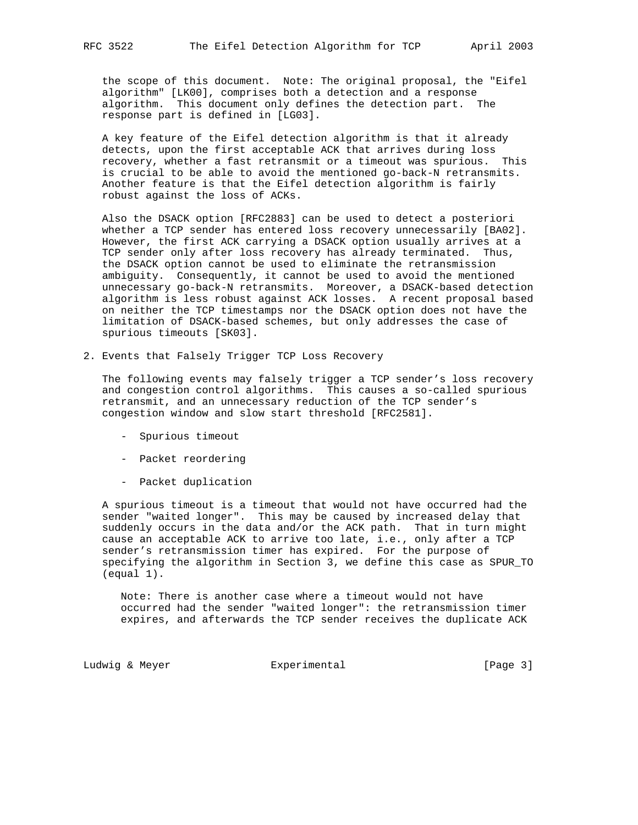the scope of this document. Note: The original proposal, the "Eifel algorithm" [LK00], comprises both a detection and a response algorithm. This document only defines the detection part. The response part is defined in [LG03].

 A key feature of the Eifel detection algorithm is that it already detects, upon the first acceptable ACK that arrives during loss recovery, whether a fast retransmit or a timeout was spurious. This is crucial to be able to avoid the mentioned go-back-N retransmits. Another feature is that the Eifel detection algorithm is fairly robust against the loss of ACKs.

 Also the DSACK option [RFC2883] can be used to detect a posteriori whether a TCP sender has entered loss recovery unnecessarily [BA02]. However, the first ACK carrying a DSACK option usually arrives at a TCP sender only after loss recovery has already terminated. Thus, the DSACK option cannot be used to eliminate the retransmission ambiguity. Consequently, it cannot be used to avoid the mentioned unnecessary go-back-N retransmits. Moreover, a DSACK-based detection algorithm is less robust against ACK losses. A recent proposal based on neither the TCP timestamps nor the DSACK option does not have the limitation of DSACK-based schemes, but only addresses the case of spurious timeouts [SK03].

2. Events that Falsely Trigger TCP Loss Recovery

 The following events may falsely trigger a TCP sender's loss recovery and congestion control algorithms. This causes a so-called spurious retransmit, and an unnecessary reduction of the TCP sender's congestion window and slow start threshold [RFC2581].

- Spurious timeout
- Packet reordering
- Packet duplication

 A spurious timeout is a timeout that would not have occurred had the sender "waited longer". This may be caused by increased delay that suddenly occurs in the data and/or the ACK path. That in turn might cause an acceptable ACK to arrive too late, i.e., only after a TCP sender's retransmission timer has expired. For the purpose of specifying the algorithm in Section 3, we define this case as SPUR\_TO (equal 1).

 Note: There is another case where a timeout would not have occurred had the sender "waited longer": the retransmission timer expires, and afterwards the TCP sender receives the duplicate ACK

Ludwig & Meyer **Experimental** Experimental [Page 3]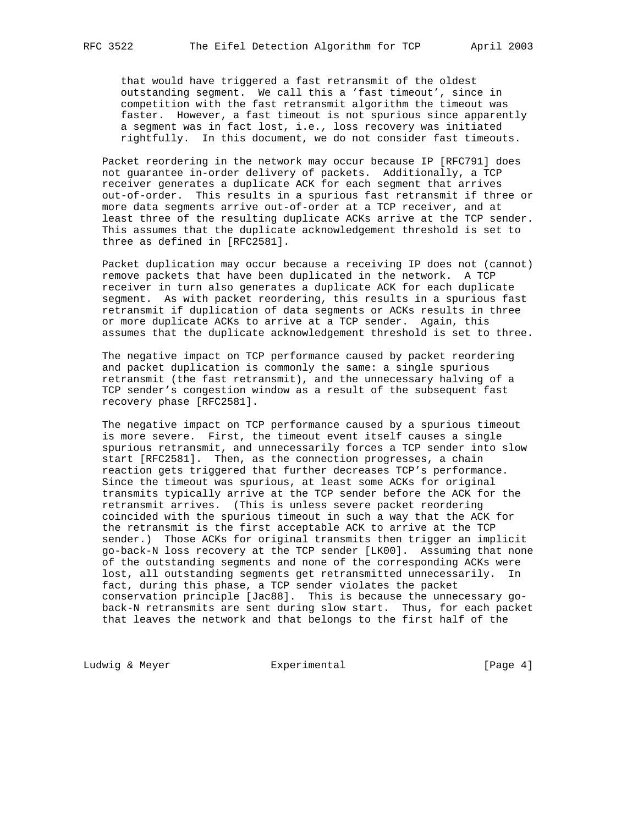that would have triggered a fast retransmit of the oldest outstanding segment. We call this a 'fast timeout', since in competition with the fast retransmit algorithm the timeout was faster. However, a fast timeout is not spurious since apparently a segment was in fact lost, i.e., loss recovery was initiated rightfully. In this document, we do not consider fast timeouts.

 Packet reordering in the network may occur because IP [RFC791] does not guarantee in-order delivery of packets. Additionally, a TCP receiver generates a duplicate ACK for each segment that arrives out-of-order. This results in a spurious fast retransmit if three or more data segments arrive out-of-order at a TCP receiver, and at least three of the resulting duplicate ACKs arrive at the TCP sender. This assumes that the duplicate acknowledgement threshold is set to three as defined in [RFC2581].

 Packet duplication may occur because a receiving IP does not (cannot) remove packets that have been duplicated in the network. A TCP receiver in turn also generates a duplicate ACK for each duplicate segment. As with packet reordering, this results in a spurious fast retransmit if duplication of data segments or ACKs results in three or more duplicate ACKs to arrive at a TCP sender. Again, this assumes that the duplicate acknowledgement threshold is set to three.

 The negative impact on TCP performance caused by packet reordering and packet duplication is commonly the same: a single spurious retransmit (the fast retransmit), and the unnecessary halving of a TCP sender's congestion window as a result of the subsequent fast recovery phase [RFC2581].

 The negative impact on TCP performance caused by a spurious timeout is more severe. First, the timeout event itself causes a single spurious retransmit, and unnecessarily forces a TCP sender into slow start [RFC2581]. Then, as the connection progresses, a chain reaction gets triggered that further decreases TCP's performance. Since the timeout was spurious, at least some ACKs for original transmits typically arrive at the TCP sender before the ACK for the retransmit arrives. (This is unless severe packet reordering coincided with the spurious timeout in such a way that the ACK for the retransmit is the first acceptable ACK to arrive at the TCP sender.) Those ACKs for original transmits then trigger an implicit go-back-N loss recovery at the TCP sender [LK00]. Assuming that none of the outstanding segments and none of the corresponding ACKs were lost, all outstanding segments get retransmitted unnecessarily. In fact, during this phase, a TCP sender violates the packet conservation principle [Jac88]. This is because the unnecessary go back-N retransmits are sent during slow start. Thus, for each packet that leaves the network and that belongs to the first half of the

Ludwig & Meyer **Experimental** Experimental [Page 4]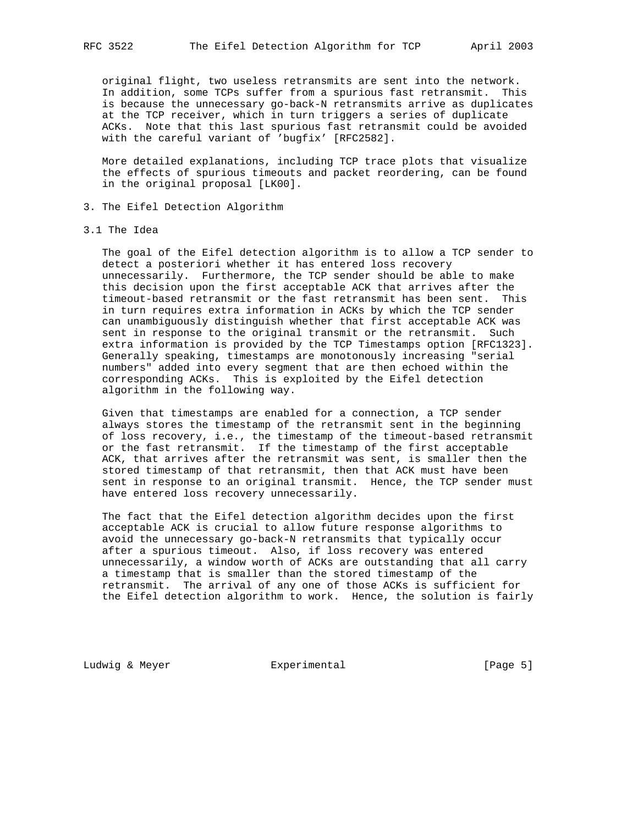original flight, two useless retransmits are sent into the network. In addition, some TCPs suffer from a spurious fast retransmit. This is because the unnecessary go-back-N retransmits arrive as duplicates at the TCP receiver, which in turn triggers a series of duplicate ACKs. Note that this last spurious fast retransmit could be avoided with the careful variant of 'bugfix' [RFC2582].

 More detailed explanations, including TCP trace plots that visualize the effects of spurious timeouts and packet reordering, can be found in the original proposal [LK00].

- 3. The Eifel Detection Algorithm
- 3.1 The Idea

 The goal of the Eifel detection algorithm is to allow a TCP sender to detect a posteriori whether it has entered loss recovery unnecessarily. Furthermore, the TCP sender should be able to make this decision upon the first acceptable ACK that arrives after the timeout-based retransmit or the fast retransmit has been sent. This in turn requires extra information in ACKs by which the TCP sender can unambiguously distinguish whether that first acceptable ACK was sent in response to the original transmit or the retransmit. Such extra information is provided by the TCP Timestamps option [RFC1323]. Generally speaking, timestamps are monotonously increasing "serial numbers" added into every segment that are then echoed within the corresponding ACKs. This is exploited by the Eifel detection algorithm in the following way.

 Given that timestamps are enabled for a connection, a TCP sender always stores the timestamp of the retransmit sent in the beginning of loss recovery, i.e., the timestamp of the timeout-based retransmit or the fast retransmit. If the timestamp of the first acceptable ACK, that arrives after the retransmit was sent, is smaller then the stored timestamp of that retransmit, then that ACK must have been sent in response to an original transmit. Hence, the TCP sender must have entered loss recovery unnecessarily.

 The fact that the Eifel detection algorithm decides upon the first acceptable ACK is crucial to allow future response algorithms to avoid the unnecessary go-back-N retransmits that typically occur after a spurious timeout. Also, if loss recovery was entered unnecessarily, a window worth of ACKs are outstanding that all carry a timestamp that is smaller than the stored timestamp of the retransmit. The arrival of any one of those ACKs is sufficient for the Eifel detection algorithm to work. Hence, the solution is fairly

Ludwig & Meyer **Experimental** Experimental [Page 5]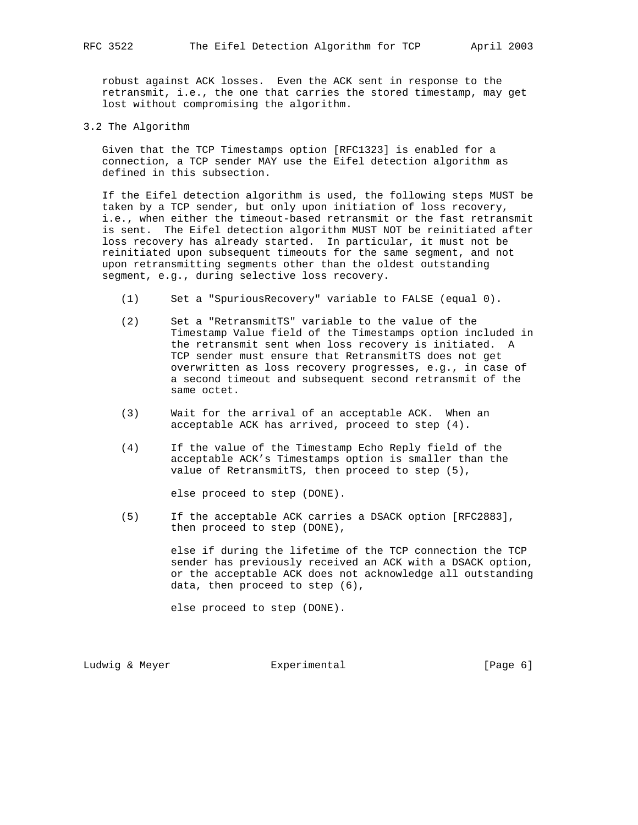robust against ACK losses. Even the ACK sent in response to the retransmit, i.e., the one that carries the stored timestamp, may get lost without compromising the algorithm.

3.2 The Algorithm

 Given that the TCP Timestamps option [RFC1323] is enabled for a connection, a TCP sender MAY use the Eifel detection algorithm as defined in this subsection.

 If the Eifel detection algorithm is used, the following steps MUST be taken by a TCP sender, but only upon initiation of loss recovery, i.e., when either the timeout-based retransmit or the fast retransmit is sent. The Eifel detection algorithm MUST NOT be reinitiated after loss recovery has already started. In particular, it must not be reinitiated upon subsequent timeouts for the same segment, and not upon retransmitting segments other than the oldest outstanding segment, e.g., during selective loss recovery.

- (1) Set a "SpuriousRecovery" variable to FALSE (equal 0).
- (2) Set a "RetransmitTS" variable to the value of the Timestamp Value field of the Timestamps option included in the retransmit sent when loss recovery is initiated. A TCP sender must ensure that RetransmitTS does not get overwritten as loss recovery progresses, e.g., in case of a second timeout and subsequent second retransmit of the same octet.
- (3) Wait for the arrival of an acceptable ACK. When an acceptable ACK has arrived, proceed to step (4).
- (4) If the value of the Timestamp Echo Reply field of the acceptable ACK's Timestamps option is smaller than the value of RetransmitTS, then proceed to step (5),

else proceed to step (DONE).

 (5) If the acceptable ACK carries a DSACK option [RFC2883], then proceed to step (DONE),

> else if during the lifetime of the TCP connection the TCP sender has previously received an ACK with a DSACK option, or the acceptable ACK does not acknowledge all outstanding data, then proceed to step (6),

else proceed to step (DONE).

Ludwig & Meyer **Experimental** Experimental [Page 6]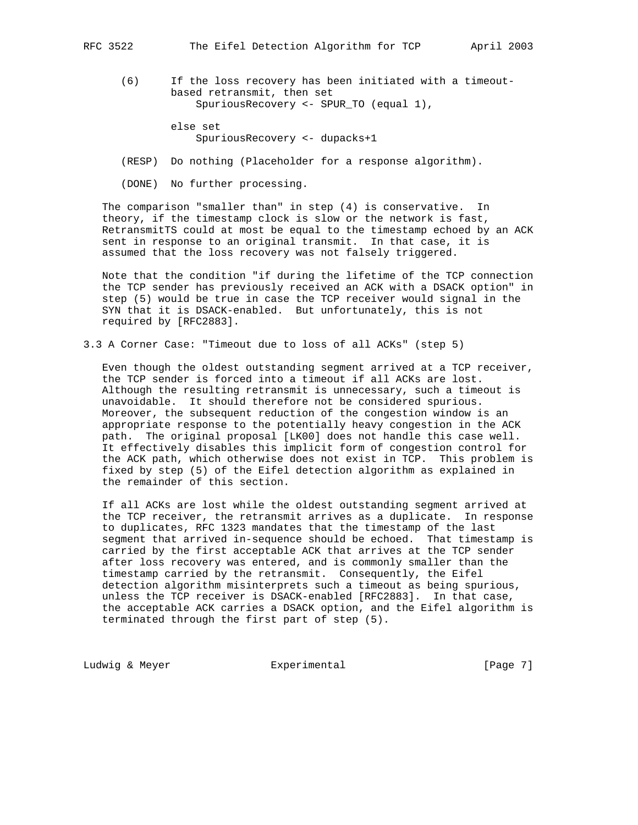(6) If the loss recovery has been initiated with a timeout based retransmit, then set SpuriousRecovery <- SPUR\_TO (equal 1),

> else set SpuriousRecovery <- dupacks+1

(RESP) Do nothing (Placeholder for a response algorithm).

(DONE) No further processing.

 The comparison "smaller than" in step (4) is conservative. In theory, if the timestamp clock is slow or the network is fast, RetransmitTS could at most be equal to the timestamp echoed by an ACK sent in response to an original transmit. In that case, it is assumed that the loss recovery was not falsely triggered.

 Note that the condition "if during the lifetime of the TCP connection the TCP sender has previously received an ACK with a DSACK option" in step (5) would be true in case the TCP receiver would signal in the SYN that it is DSACK-enabled. But unfortunately, this is not required by [RFC2883].

3.3 A Corner Case: "Timeout due to loss of all ACKs" (step 5)

 Even though the oldest outstanding segment arrived at a TCP receiver, the TCP sender is forced into a timeout if all ACKs are lost. Although the resulting retransmit is unnecessary, such a timeout is unavoidable. It should therefore not be considered spurious. Moreover, the subsequent reduction of the congestion window is an appropriate response to the potentially heavy congestion in the ACK path. The original proposal [LK00] does not handle this case well. It effectively disables this implicit form of congestion control for the ACK path, which otherwise does not exist in TCP. This problem is fixed by step (5) of the Eifel detection algorithm as explained in the remainder of this section.

 If all ACKs are lost while the oldest outstanding segment arrived at the TCP receiver, the retransmit arrives as a duplicate. In response to duplicates, RFC 1323 mandates that the timestamp of the last segment that arrived in-sequence should be echoed. That timestamp is carried by the first acceptable ACK that arrives at the TCP sender after loss recovery was entered, and is commonly smaller than the timestamp carried by the retransmit. Consequently, the Eifel detection algorithm misinterprets such a timeout as being spurious, unless the TCP receiver is DSACK-enabled [RFC2883]. In that case, the acceptable ACK carries a DSACK option, and the Eifel algorithm is terminated through the first part of step (5).

Ludwig & Meyer **Experimental** Experimental [Page 7]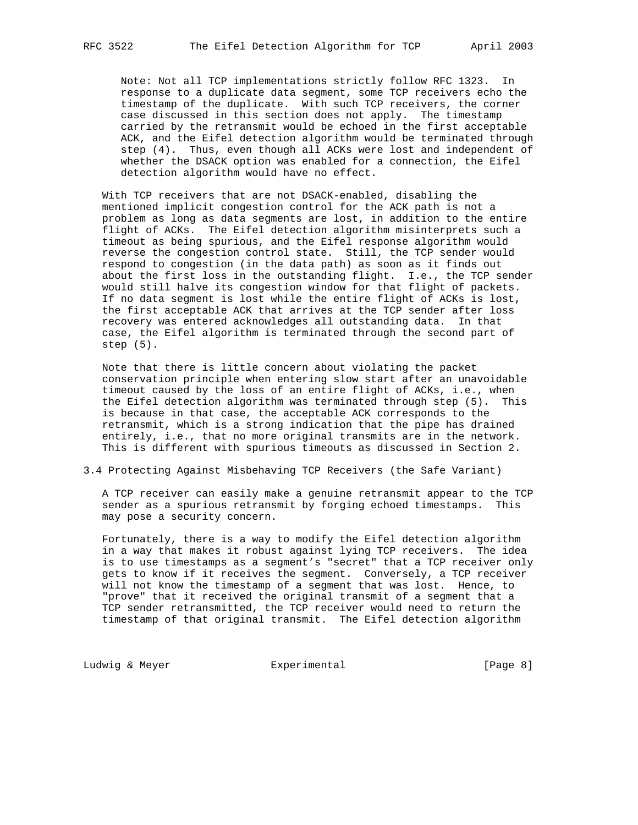Note: Not all TCP implementations strictly follow RFC 1323. In response to a duplicate data segment, some TCP receivers echo the timestamp of the duplicate. With such TCP receivers, the corner case discussed in this section does not apply. The timestamp carried by the retransmit would be echoed in the first acceptable ACK, and the Eifel detection algorithm would be terminated through step (4). Thus, even though all ACKs were lost and independent of whether the DSACK option was enabled for a connection, the Eifel detection algorithm would have no effect.

 With TCP receivers that are not DSACK-enabled, disabling the mentioned implicit congestion control for the ACK path is not a problem as long as data segments are lost, in addition to the entire flight of ACKs. The Eifel detection algorithm misinterprets such a timeout as being spurious, and the Eifel response algorithm would reverse the congestion control state. Still, the TCP sender would respond to congestion (in the data path) as soon as it finds out about the first loss in the outstanding flight. I.e., the TCP sender would still halve its congestion window for that flight of packets. If no data segment is lost while the entire flight of ACKs is lost, the first acceptable ACK that arrives at the TCP sender after loss recovery was entered acknowledges all outstanding data. In that case, the Eifel algorithm is terminated through the second part of step (5).

 Note that there is little concern about violating the packet conservation principle when entering slow start after an unavoidable timeout caused by the loss of an entire flight of ACKs, i.e., when the Eifel detection algorithm was terminated through step (5). This is because in that case, the acceptable ACK corresponds to the retransmit, which is a strong indication that the pipe has drained entirely, i.e., that no more original transmits are in the network. This is different with spurious timeouts as discussed in Section 2.

3.4 Protecting Against Misbehaving TCP Receivers (the Safe Variant)

 A TCP receiver can easily make a genuine retransmit appear to the TCP sender as a spurious retransmit by forging echoed timestamps. This may pose a security concern.

 Fortunately, there is a way to modify the Eifel detection algorithm in a way that makes it robust against lying TCP receivers. The idea is to use timestamps as a segment's "secret" that a TCP receiver only gets to know if it receives the segment. Conversely, a TCP receiver will not know the timestamp of a segment that was lost. Hence, to "prove" that it received the original transmit of a segment that a TCP sender retransmitted, the TCP receiver would need to return the timestamp of that original transmit. The Eifel detection algorithm

Ludwig & Meyer **Experimental** Experimental [Page 8]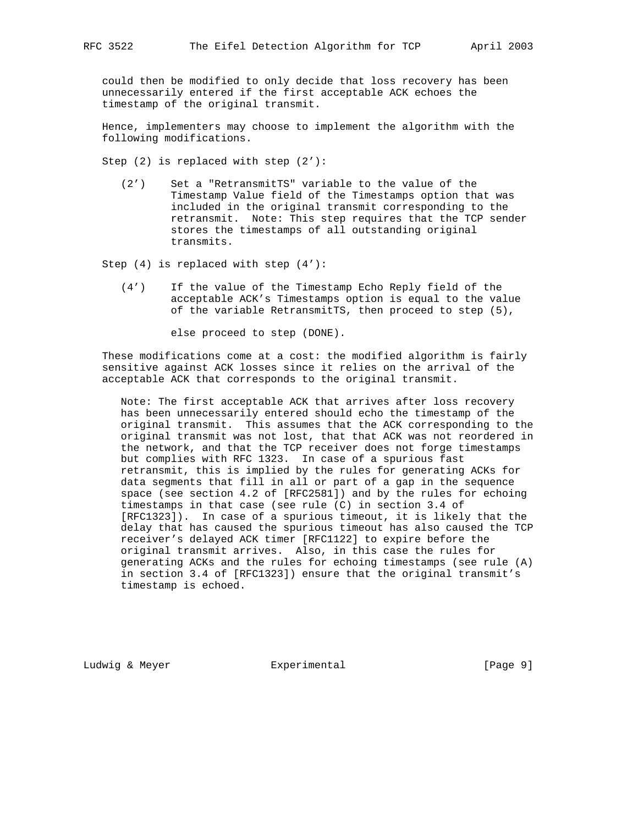could then be modified to only decide that loss recovery has been unnecessarily entered if the first acceptable ACK echoes the timestamp of the original transmit.

 Hence, implementers may choose to implement the algorithm with the following modifications.

Step (2) is replaced with step (2'):

 (2') Set a "RetransmitTS" variable to the value of the Timestamp Value field of the Timestamps option that was included in the original transmit corresponding to the retransmit. Note: This step requires that the TCP sender stores the timestamps of all outstanding original transmits.

Step (4) is replaced with step (4'):

 (4') If the value of the Timestamp Echo Reply field of the acceptable ACK's Timestamps option is equal to the value of the variable RetransmitTS, then proceed to step (5),

else proceed to step (DONE).

 These modifications come at a cost: the modified algorithm is fairly sensitive against ACK losses since it relies on the arrival of the acceptable ACK that corresponds to the original transmit.

 Note: The first acceptable ACK that arrives after loss recovery has been unnecessarily entered should echo the timestamp of the original transmit. This assumes that the ACK corresponding to the original transmit was not lost, that that ACK was not reordered in the network, and that the TCP receiver does not forge timestamps but complies with RFC 1323. In case of a spurious fast retransmit, this is implied by the rules for generating ACKs for data segments that fill in all or part of a gap in the sequence space (see section 4.2 of [RFC2581]) and by the rules for echoing timestamps in that case (see rule (C) in section 3.4 of [RFC1323]). In case of a spurious timeout, it is likely that the delay that has caused the spurious timeout has also caused the TCP receiver's delayed ACK timer [RFC1122] to expire before the original transmit arrives. Also, in this case the rules for generating ACKs and the rules for echoing timestamps (see rule (A) in section 3.4 of [RFC1323]) ensure that the original transmit's timestamp is echoed.

Ludwig & Meyer **Experimental** Experimental [Page 9]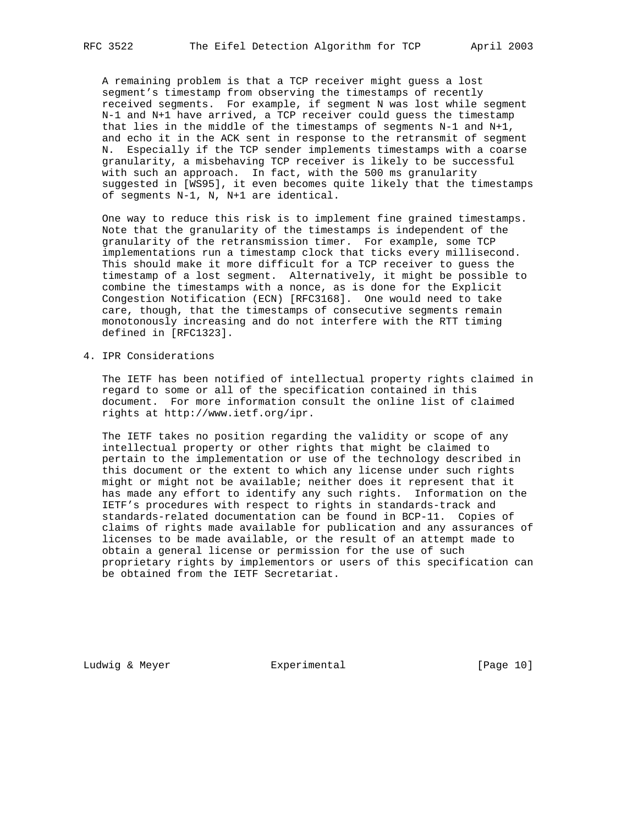A remaining problem is that a TCP receiver might guess a lost segment's timestamp from observing the timestamps of recently received segments. For example, if segment N was lost while segment N-1 and N+1 have arrived, a TCP receiver could guess the timestamp that lies in the middle of the timestamps of segments N-1 and N+1, and echo it in the ACK sent in response to the retransmit of segment N. Especially if the TCP sender implements timestamps with a coarse granularity, a misbehaving TCP receiver is likely to be successful with such an approach. In fact, with the 500 ms granularity suggested in [WS95], it even becomes quite likely that the timestamps of segments N-1, N, N+1 are identical.

 One way to reduce this risk is to implement fine grained timestamps. Note that the granularity of the timestamps is independent of the granularity of the retransmission timer. For example, some TCP implementations run a timestamp clock that ticks every millisecond. This should make it more difficult for a TCP receiver to guess the timestamp of a lost segment. Alternatively, it might be possible to combine the timestamps with a nonce, as is done for the Explicit Congestion Notification (ECN) [RFC3168]. One would need to take care, though, that the timestamps of consecutive segments remain monotonously increasing and do not interfere with the RTT timing defined in [RFC1323].

4. IPR Considerations

 The IETF has been notified of intellectual property rights claimed in regard to some or all of the specification contained in this document. For more information consult the online list of claimed rights at http://www.ietf.org/ipr.

 The IETF takes no position regarding the validity or scope of any intellectual property or other rights that might be claimed to pertain to the implementation or use of the technology described in this document or the extent to which any license under such rights might or might not be available; neither does it represent that it has made any effort to identify any such rights. Information on the IETF's procedures with respect to rights in standards-track and standards-related documentation can be found in BCP-11. Copies of claims of rights made available for publication and any assurances of licenses to be made available, or the result of an attempt made to obtain a general license or permission for the use of such proprietary rights by implementors or users of this specification can be obtained from the IETF Secretariat.

Ludwig & Meyer **Experimental** Experimental [Page 10]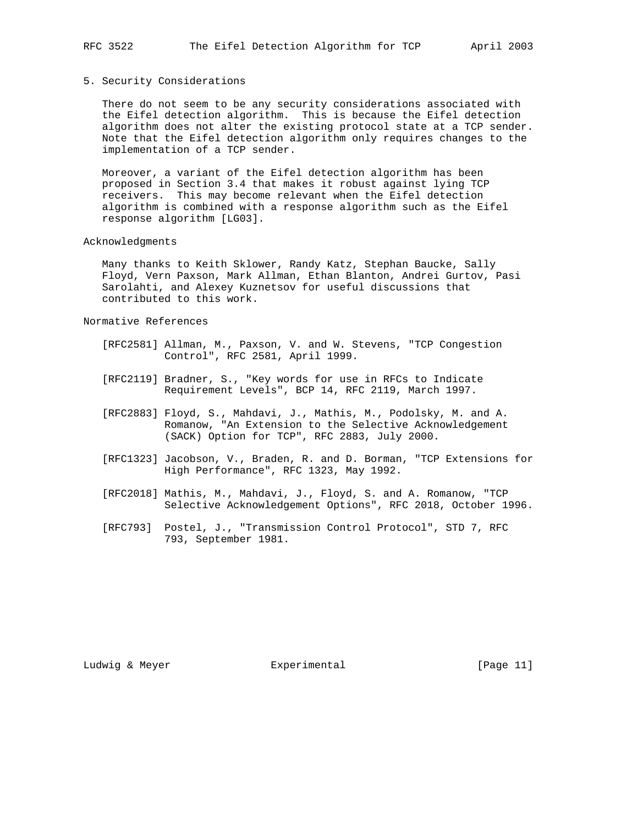### 5. Security Considerations

 There do not seem to be any security considerations associated with the Eifel detection algorithm. This is because the Eifel detection algorithm does not alter the existing protocol state at a TCP sender. Note that the Eifel detection algorithm only requires changes to the implementation of a TCP sender.

 Moreover, a variant of the Eifel detection algorithm has been proposed in Section 3.4 that makes it robust against lying TCP receivers. This may become relevant when the Eifel detection algorithm is combined with a response algorithm such as the Eifel response algorithm [LG03].

#### Acknowledgments

 Many thanks to Keith Sklower, Randy Katz, Stephan Baucke, Sally Floyd, Vern Paxson, Mark Allman, Ethan Blanton, Andrei Gurtov, Pasi Sarolahti, and Alexey Kuznetsov for useful discussions that contributed to this work.

# Normative References

- [RFC2581] Allman, M., Paxson, V. and W. Stevens, "TCP Congestion Control", RFC 2581, April 1999.
- [RFC2119] Bradner, S., "Key words for use in RFCs to Indicate Requirement Levels", BCP 14, RFC 2119, March 1997.
- [RFC2883] Floyd, S., Mahdavi, J., Mathis, M., Podolsky, M. and A. Romanow, "An Extension to the Selective Acknowledgement (SACK) Option for TCP", RFC 2883, July 2000.
- [RFC1323] Jacobson, V., Braden, R. and D. Borman, "TCP Extensions for High Performance", RFC 1323, May 1992.
- [RFC2018] Mathis, M., Mahdavi, J., Floyd, S. and A. Romanow, "TCP Selective Acknowledgement Options", RFC 2018, October 1996.
- [RFC793] Postel, J., "Transmission Control Protocol", STD 7, RFC 793, September 1981.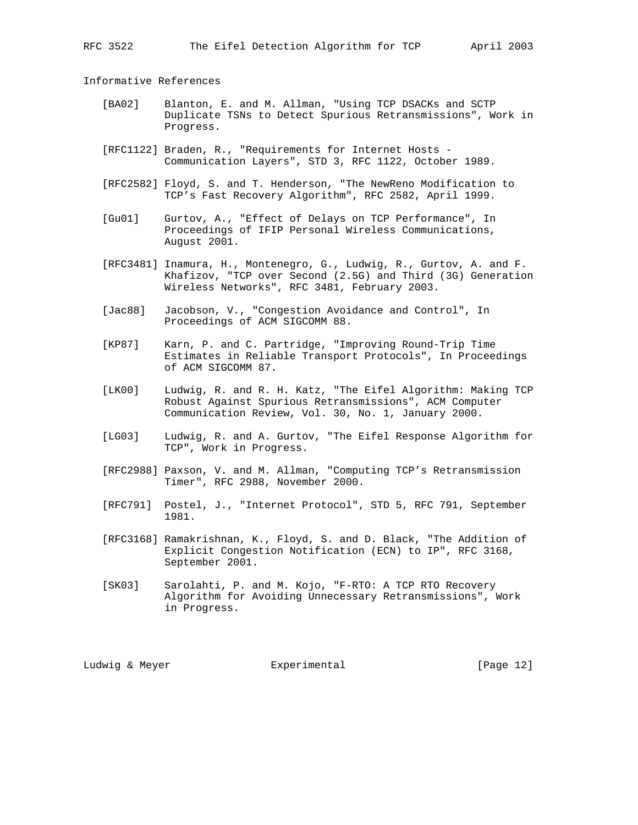Informative References

- [BA02] Blanton, E. and M. Allman, "Using TCP DSACKs and SCTP Duplicate TSNs to Detect Spurious Retransmissions", Work in Progress.
- [RFC1122] Braden, R., "Requirements for Internet Hosts Communication Layers", STD 3, RFC 1122, October 1989.
- [RFC2582] Floyd, S. and T. Henderson, "The NewReno Modification to TCP's Fast Recovery Algorithm", RFC 2582, April 1999.
- [Gu01] Gurtov, A., "Effect of Delays on TCP Performance", In Proceedings of IFIP Personal Wireless Communications, August 2001.
- [RFC3481] Inamura, H., Montenegro, G., Ludwig, R., Gurtov, A. and F. Khafizov, "TCP over Second (2.5G) and Third (3G) Generation Wireless Networks", RFC 3481, February 2003.
- [Jac88] Jacobson, V., "Congestion Avoidance and Control", In Proceedings of ACM SIGCOMM 88.
- [KP87] Karn, P. and C. Partridge, "Improving Round-Trip Time Estimates in Reliable Transport Protocols", In Proceedings of ACM SIGCOMM 87.
- [LK00] Ludwig, R. and R. H. Katz, "The Eifel Algorithm: Making TCP Robust Against Spurious Retransmissions", ACM Computer Communication Review, Vol. 30, No. 1, January 2000.
- [LG03] Ludwig, R. and A. Gurtov, "The Eifel Response Algorithm for TCP", Work in Progress.
- [RFC2988] Paxson, V. and M. Allman, "Computing TCP's Retransmission Timer", RFC 2988, November 2000.
- [RFC791] Postel, J., "Internet Protocol", STD 5, RFC 791, September 1981.
- [RFC3168] Ramakrishnan, K., Floyd, S. and D. Black, "The Addition of Explicit Congestion Notification (ECN) to IP", RFC 3168, September 2001.
- [SK03] Sarolahti, P. and M. Kojo, "F-RTO: A TCP RTO Recovery Algorithm for Avoiding Unnecessary Retransmissions", Work in Progress.

Ludwig & Meyer **Experimental** Experimental [Page 12]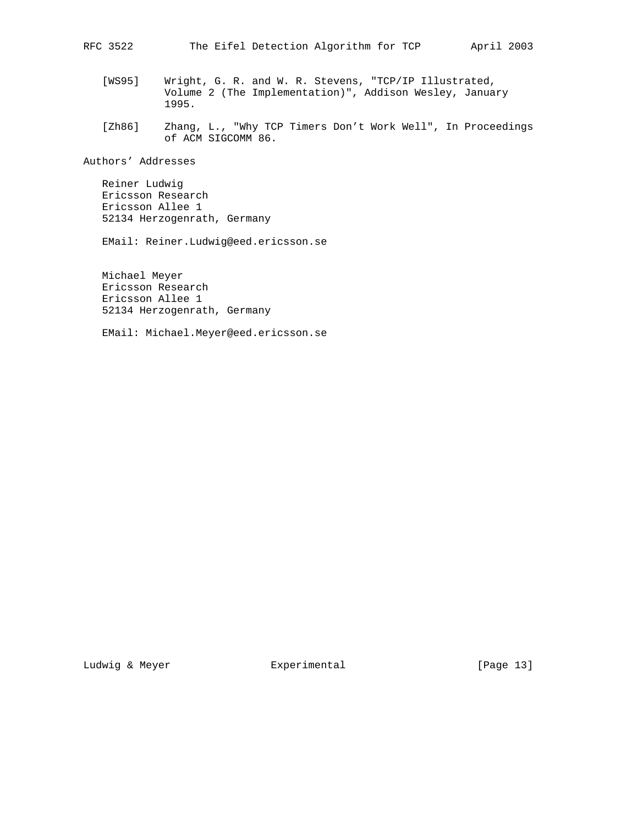- [WS95] Wright, G. R. and W. R. Stevens, "TCP/IP Illustrated, Volume 2 (The Implementation)", Addison Wesley, January 1995.
- [Zh86] Zhang, L., "Why TCP Timers Don't Work Well", In Proceedings of ACM SIGCOMM 86.

Authors' Addresses

 Reiner Ludwig Ericsson Research Ericsson Allee 1 52134 Herzogenrath, Germany

EMail: Reiner.Ludwig@eed.ericsson.se

 Michael Meyer Ericsson Research Ericsson Allee 1 52134 Herzogenrath, Germany

EMail: Michael.Meyer@eed.ericsson.se

Ludwig & Meyer **Experimental** Experimental [Page 13]